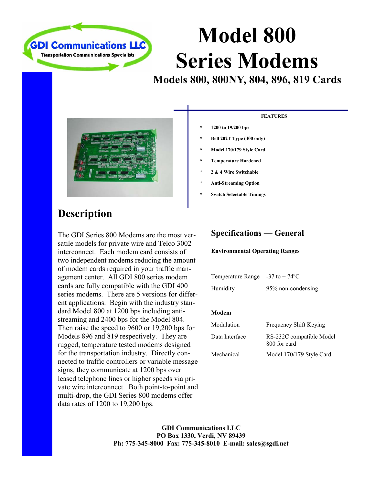

# **Model 800 Series Modems**

**Models 800, 800NY, 804, 896, 819 Cards** 



### **Description**

The GDI Series 800 Modems are the most versatile models for private wire and Telco 3002 interconnect. Each modem card consists of two independent modems reducing the amount of modem cards required in your traffic management center. All GDI 800 series modem cards are fully compatible with the GDI 400 series modems. There are 5 versions for different applications. Begin with the industry standard Model 800 at 1200 bps including antistreaming and 2400 bps for the Model 804. Then raise the speed to 9600 or 19,200 bps for Models 896 and 819 respectively. They are rugged, temperature tested modems designed for the transportation industry. Directly connected to traffic controllers or variable message signs, they communicate at 1200 bps over leased telephone lines or higher speeds via private wire interconnect. Both point-to-point and multi-drop, the GDI Series 800 modems offer data rates of 1200 to 19,200 bps.

#### **FEATURES**

- **\* 1200 to 19,200 bps**
- **\* Bell 202T Type (400 only)**
- **\* Model 170/179 Style Card**
- **\* Temperature Hardened**
- **\* 2 & 4 Wire Switchable**
- **\* Anti-Streaming Option**
- **Switch Selectable Timings**

#### **Specifications — General**

#### **Environmental Operating Ranges**

| Temperature Range | $-37$ to $+74$ <sup>o</sup> C |
|-------------------|-------------------------------|
| Humidity          | 95% non-condensing            |

#### **Modem**

| Modulation     | Frequency Shift Keying                   |
|----------------|------------------------------------------|
| Data Interface | RS-232C compatible Model<br>800 for card |
| Mechanical     | Model 170/179 Style Card                 |

**GDI Communications LLC PO Box 1330, Verdi, NV 89439 Ph: 775-345-8000 Fax: 775-345-8010 E-mail: sales@sgdi.net**